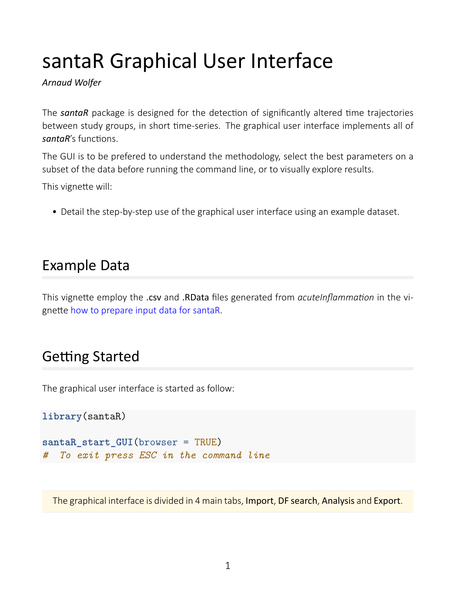# santaR Graphical User Interface

*Arnaud Wolfer*

The **santaR** package is designed for the detection of significantly altered time trajectories between study groups, in short time-series. The graphical user interface implements all of *santaR's* functions.

The GUI is to be prefered to understand the methodology, select the best parameters on a subset of the data before running the command line, or to visually explore results.

This vignette will:

• Detail the step-by-step use of the graphical user interface using an example dataset.

### Example Data

This vignette employ the .csv and .RData files generated from *acuteInflammation* in the vignette [how to prepare input data for santaR.](prepare-input-data.html)

## **Getting Started**

The graphical user interface is started as follow:

```
library(santaR)
```

```
santaR_start_GUI(browser = TRUE)
# To exit press ESC in the command line
```
The graphical interface is divided in 4 main tabs, Import, DF search, Analysis and Export.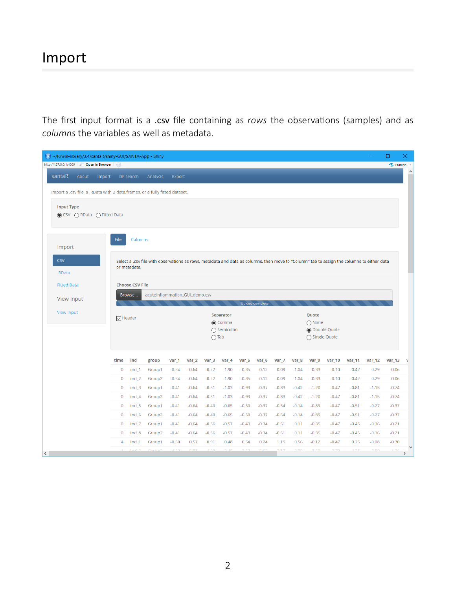The first input format is a .csv file containing as *rows* the observations (samples) and as *columns* the variables as well as metadata.

|           | R ~/R/win-library/3.4/santaR/shiny-GUI/SANTA-App - Shiny |                                                                             |                      |                            |                           |                                                                                                                                            |                    |                    |                    |                    |                    |                    |                      |                 |                    |                    |                    |                    | $\Box$             | $\times$                |
|-----------|----------------------------------------------------------|-----------------------------------------------------------------------------|----------------------|----------------------------|---------------------------|--------------------------------------------------------------------------------------------------------------------------------------------|--------------------|--------------------|--------------------|--------------------|--------------------|--------------------|----------------------|-----------------|--------------------|--------------------|--------------------|--------------------|--------------------|-------------------------|
|           | http://127.0.0.1:4009 2 Open in Browser 3                |                                                                             |                      |                            |                           |                                                                                                                                            |                    |                    |                    |                    |                    |                    |                      |                 |                    |                    |                    |                    | • Publish •        |                         |
|           | santaR                                                   | About                                                                       | Import               |                            | DF search                 | Analysis                                                                                                                                   | Export             |                    |                    |                    |                    |                    |                      |                 |                    |                    |                    |                    |                    | $\widehat{\phantom{a}}$ |
|           |                                                          | Import a .csv file, a .RData with 2 data.frames, or a fully fitted dataset. |                      |                            |                           |                                                                                                                                            |                    |                    |                    |                    |                    |                    |                      |                 |                    |                    |                    |                    |                    |                         |
|           |                                                          |                                                                             |                      |                            |                           |                                                                                                                                            |                    |                    |                    |                    |                    |                    |                      |                 |                    |                    |                    |                    |                    |                         |
|           | <b>Input Type</b>                                        | s CSV ∩ RData ∩ Fitted Data                                                 |                      |                            |                           |                                                                                                                                            |                    |                    |                    |                    |                    |                    |                      |                 |                    |                    |                    |                    |                    |                         |
|           |                                                          |                                                                             |                      |                            |                           |                                                                                                                                            |                    |                    |                    |                    |                    |                    |                      |                 |                    |                    |                    |                    |                    |                         |
|           |                                                          |                                                                             |                      | File                       | Columns                   |                                                                                                                                            |                    |                    |                    |                    |                    |                    |                      |                 |                    |                    |                    |                    |                    |                         |
|           | Import                                                   |                                                                             |                      |                            |                           |                                                                                                                                            |                    |                    |                    |                    |                    |                    |                      |                 |                    |                    |                    |                    |                    |                         |
|           | <b>CSV</b>                                               |                                                                             |                      |                            |                           | Select a .csv file with observations as rows, metadata and data as columns, then move to "Column" tab to assign the columns to either data |                    |                    |                    |                    |                    |                    |                      |                 |                    |                    |                    |                    |                    |                         |
|           | .RData                                                   |                                                                             |                      |                            | or metadata.              |                                                                                                                                            |                    |                    |                    |                    |                    |                    |                      |                 |                    |                    |                    |                    |                    |                         |
|           | <b>Fitted Data</b>                                       |                                                                             |                      |                            | <b>Choose CSV File</b>    |                                                                                                                                            |                    |                    |                    |                    |                    |                    |                      |                 |                    |                    |                    |                    |                    |                         |
|           |                                                          |                                                                             |                      |                            | Browse                    | acuteInflammation_GUI_demo.csv                                                                                                             |                    |                    |                    |                    |                    |                    |                      |                 |                    |                    |                    |                    |                    |                         |
|           | <b>View Input</b>                                        |                                                                             |                      | Upload complete            |                           |                                                                                                                                            |                    |                    |                    |                    |                    |                    |                      |                 |                    |                    |                    |                    |                    |                         |
|           |                                                          | View Input                                                                  |                      | $\triangledown$ Header     |                           |                                                                                                                                            | Separator          |                    |                    |                    |                    | Quote              |                      |                 |                    |                    |                    |                    |                    |                         |
|           |                                                          |                                                                             | Comma<br>○ Semicolon |                            |                           | $\bigcap$ None<br><b>◎</b> Double Quote                                                                                                    |                    |                    |                    |                    |                    |                    |                      |                 |                    |                    |                    |                    |                    |                         |
|           |                                                          |                                                                             |                      |                            |                           |                                                                                                                                            |                    |                    | $\bigcap$ Tab      |                    |                    |                    |                      |                 | ◯ Single Quote     |                    |                    |                    |                    |                         |
|           |                                                          |                                                                             |                      |                            |                           |                                                                                                                                            |                    |                    |                    |                    |                    |                    |                      |                 |                    |                    |                    |                    |                    |                         |
|           |                                                          |                                                                             |                      | time                       | ind                       | group                                                                                                                                      | var_1              | var_2              | var_3              | var_4              | var_5              | var <sub>_6</sub>  | var_7                | var_8           | var_9              | var_10             | var_11             | var_12             | $var_13$           |                         |
|           |                                                          |                                                                             |                      | $\bf{0}$                   | ind_1                     | Group1                                                                                                                                     | $-0.34$            | $-0.64$            | $-0.22$            | 1.90               | $-0.35$            | $-0.12$            | $-0.09$              | 1.04            | $-0.33$            | $-0.10$            | $-0.42$            | 0.29               | $-0.06$            |                         |
|           |                                                          |                                                                             |                      | $\mathbf 0$                | $ind_2$                   | Group2                                                                                                                                     | $-0.34$            | $-0.64$            | $-0.22$            | 1.90               | $-0.35$            | $-0.12$            | $-0.09$              | 1.04            | $-0.33$            | $-0.10$            | $-0.42$            | 0.29               | $-0.06$            |                         |
|           |                                                          |                                                                             |                      | $\mathbf 0$                | ind_3                     | Group1                                                                                                                                     | $-0.41$            | $-0.64$            | $-0.51$            | $-1.03$            | $-0.93$            | $-0.37$            | $-0.83$              | $-0.42$         | $-1.20$            | $-0.47$            | $-0.81$            | $-1.15$            | $-0.74$            |                         |
|           |                                                          |                                                                             |                      | $\mathbf 0$                | ind <sub>4</sub>          | Group2                                                                                                                                     | $-0.41$            | $-0.64$            | $-0.51$            | $-1.03$            | $-0.93$            | $-0.37$            | $-0.83$              | $-0.42$         | $-1.20$            | $-0.47$            | $-0.81$            | $-1.15$            | $-0.74$            |                         |
|           |                                                          |                                                                             |                      | $\mathbf 0$                | ind 5                     | Group1                                                                                                                                     | $-0.41$<br>$-0.41$ | $-0.64$<br>$-0.64$ | $-0.40$<br>$-0.40$ | $-0.65$<br>$-0.65$ | $-0.50$            | $-0.37$<br>$-0.37$ | $-0.54$<br>$-0.54$   | $-0.14$         | $-0.89$            | $-0.47$            | $-0.51$            | $-0.27$            | $-0.37$<br>$-0.37$ |                         |
|           |                                                          |                                                                             |                      | $\mathbf 0$<br>$\mathbf 0$ | ind <sub>6</sub><br>ind 7 | Group2<br>Group1                                                                                                                           | $-0.41$            | $-0.64$            | $-0.36$            | $-0.57$            | $-0.50$<br>$-0.43$ | $-0.34$            | $-0.51$              | $-0.14$<br>0.11 | $-0.89$<br>$-0.35$ | $-0.47$<br>$-0.47$ | $-0.51$<br>$-0.45$ | $-0.27$<br>$-0.16$ | $-0.21$            |                         |
|           |                                                          |                                                                             |                      | $\mathbf{0}$               | ind <sub>8</sub>          | Group2                                                                                                                                     | $-0.41$            | $-0.64$            | $-0.36$            | $-0.57$            | $-0.43$            | $-0.34$            | $-0.51$              | 0.11            | $-0.35$            | $-0.47$            | $-0.45$            | $-0.16$            | $-0.21$            |                         |
|           |                                                          |                                                                             |                      | $\overline{4}$             | ind_1                     | Group1                                                                                                                                     | $-0.30$            | 0.57               | 0.91               | 0.48               | 0.54               | 0.24               | 1.19                 | 0.56            | $-0.12$            | $-0.47$            | 0.25               | $-0.08$            | $-0.30$            |                         |
| $\langle$ |                                                          |                                                                             |                      |                            | <b>Sanda</b> in           | maan ah                                                                                                                                    | $\lambda$          | $ -$               | 200                | n an               | $\sim$ $-$         | e en               | $\sim$ $\sim$ $\sim$ | 0.00            | $\sim$ nm          | 220                | $\mathbf{A}$       | 2.00               | $1 - 2r$           | $\mathcal{P}$           |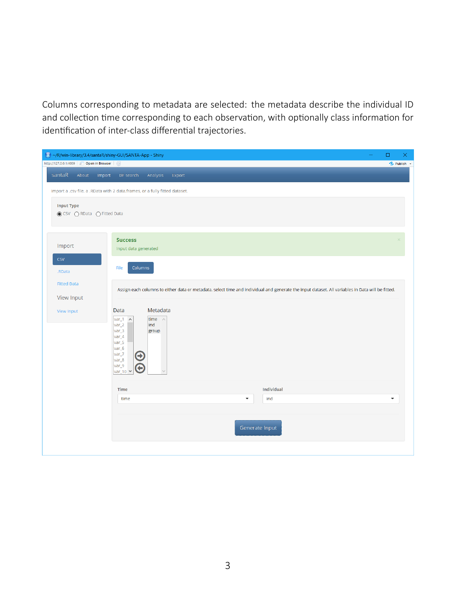Columns corresponding to metadata are selected: the metadata describe the individual ID and collection time corresponding to each observation, with optionally class information for identification of inter-class differential trajectories.

| R ~/R/win-library/3.4/santaR/shiny-GUI/SANTA-App - Shiny<br>$\overline{\phantom{m}}$                                                                                                                               | $\Box$<br>$\times$   |  |  |  |  |  |  |  |  |  |
|--------------------------------------------------------------------------------------------------------------------------------------------------------------------------------------------------------------------|----------------------|--|--|--|--|--|--|--|--|--|
| http://127.0.0.1:4009 2 Open in Browser (                                                                                                                                                                          | • Publish •          |  |  |  |  |  |  |  |  |  |
| santaR<br>About<br>Import DF search<br>Analysis<br>Export                                                                                                                                                          |                      |  |  |  |  |  |  |  |  |  |
| Import a .csv file, a .RData with 2 data.frames, or a fully fitted dataset.                                                                                                                                        |                      |  |  |  |  |  |  |  |  |  |
| <b>Input Type</b><br>◉ CSV ORData OFitted Data                                                                                                                                                                     |                      |  |  |  |  |  |  |  |  |  |
| <b>Success</b><br>Import<br>Input data generated                                                                                                                                                                   |                      |  |  |  |  |  |  |  |  |  |
| <b>CSV</b><br>File<br>Columns<br>.RData                                                                                                                                                                            |                      |  |  |  |  |  |  |  |  |  |
| <b>Fitted Data</b><br>Assign each columns to either data or metadata, select time and individual and generate the input dataset. All variables in Data will be fitted.                                             |                      |  |  |  |  |  |  |  |  |  |
| View Input                                                                                                                                                                                                         |                      |  |  |  |  |  |  |  |  |  |
| Metadata<br>Data<br>View Input<br>time $\wedge$<br>$var_1$<br>$\widehat{\phantom{a}}$<br>var_2<br>ind<br>var_3<br>group<br>var_4<br>var_5<br>var_6<br>var_7<br>$\mathbf \Theta$<br>var_8<br>var_9<br>G<br>var_10 Y |                      |  |  |  |  |  |  |  |  |  |
| Individual<br>Time                                                                                                                                                                                                 |                      |  |  |  |  |  |  |  |  |  |
| ind<br>$\blacktriangledown$<br>time                                                                                                                                                                                | $\blacktriangledown$ |  |  |  |  |  |  |  |  |  |
| Generate Input                                                                                                                                                                                                     |                      |  |  |  |  |  |  |  |  |  |
|                                                                                                                                                                                                                    |                      |  |  |  |  |  |  |  |  |  |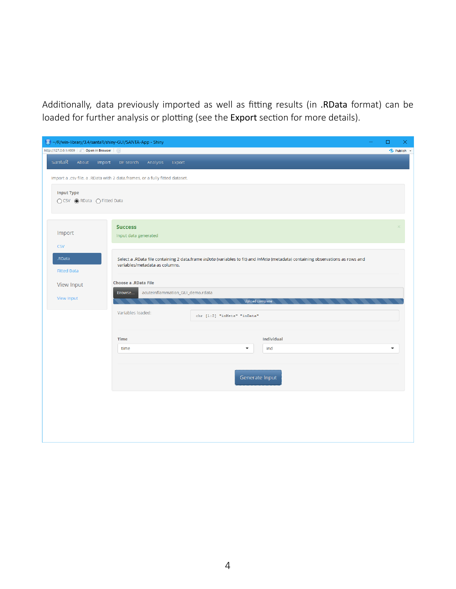Additionally, data previously imported as well as fitting results (in .RData format) can be loaded for further analysis or plotting (see the Export section for more details).

|  |                                            |                             |  | R ~/R/win-library/3.4/santaR/shiny-GUI/SANTA-App - Shiny                                                                                                           |                                                     |        |                             | $\Box$ | $\times$    |  |  |
|--|--------------------------------------------|-----------------------------|--|--------------------------------------------------------------------------------------------------------------------------------------------------------------------|-----------------------------------------------------|--------|-----------------------------|--------|-------------|--|--|
|  | http://127.0.0.1:4009 2 Open in Browser    |                             |  |                                                                                                                                                                    |                                                     |        |                             |        | • Publish • |  |  |
|  | santaR                                     | About                       |  | Import DF search Analysis                                                                                                                                          |                                                     | Export |                             |        |             |  |  |
|  |                                            |                             |  | Import a .csv file, a .RData with 2 data.frames, or a fully fitted dataset.                                                                                        |                                                     |        |                             |        |             |  |  |
|  | <b>Input Type</b>                          | ○ CSV ● RData ○ Fitted Data |  |                                                                                                                                                                    |                                                     |        |                             |        |             |  |  |
|  | Import                                     |                             |  | <b>Success</b><br>Input data generated                                                                                                                             |                                                     |        |                             |        |             |  |  |
|  | <b>CSV</b><br>.RData<br><b>Fitted Data</b> |                             |  | Select a .RData file containing 2 data.frame inData (variables to fit) and inMeta (metadata) containing observations as rows and<br>variables/metadata as columns. |                                                     |        |                             |        |             |  |  |
|  | <b>View Input</b>                          |                             |  | <b>Choose a .RData File</b>                                                                                                                                        |                                                     |        |                             |        |             |  |  |
|  |                                            | View Input                  |  | Browse                                                                                                                                                             | acuteInflammation_GUI_demo.rdata<br>Upload complete |        |                             |        |             |  |  |
|  |                                            |                             |  | Variables loaded:                                                                                                                                                  |                                                     |        | chr [1:2] "inMeta" "inData" |        |             |  |  |
|  |                                            |                             |  | <b>Time</b>                                                                                                                                                        |                                                     |        | <b>Individual</b>           |        |             |  |  |
|  |                                            |                             |  | time                                                                                                                                                               |                                                     |        | $\blacktriangledown$<br>ind | ▼      |             |  |  |
|  |                                            |                             |  |                                                                                                                                                                    |                                                     |        |                             |        |             |  |  |
|  |                                            |                             |  | Generate Input                                                                                                                                                     |                                                     |        |                             |        |             |  |  |
|  |                                            |                             |  |                                                                                                                                                                    |                                                     |        |                             |        |             |  |  |
|  |                                            |                             |  |                                                                                                                                                                    |                                                     |        |                             |        |             |  |  |
|  |                                            |                             |  |                                                                                                                                                                    |                                                     |        |                             |        |             |  |  |
|  |                                            |                             |  |                                                                                                                                                                    |                                                     |        |                             |        |             |  |  |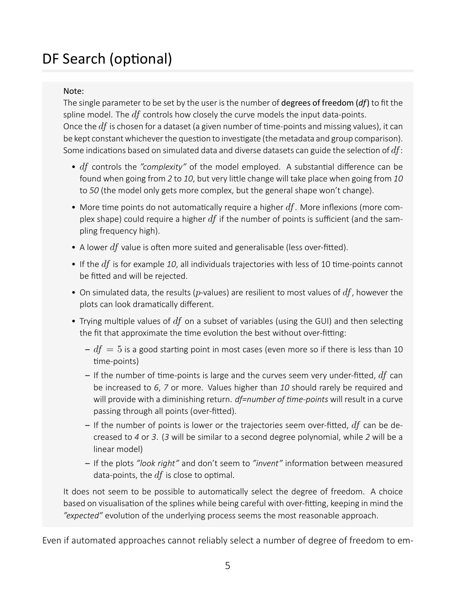# DF Search (optional)

#### Note:

The single parameter to be set by the user is the number of degrees of freedom (*df*) to fit the spline model. The *df* controls how closely the curve models the input data-points. Once the  $df$  is chosen for a dataset (a given number of time-points and missing values), it can be kept constant whichever the question to investigate (the metadata and group comparison). Some indications based on simulated data and diverse datasets can guide the selection of  $df$ :

- *df* controls the "complexity" of the model employed. A substantial difference can be found when going from 2 to 10, but very little change will take place when going from 10 to *50* (the model only gets more complex, but the general shape won't change).
- More time points do not automatically require a higher  $df$ . More inflexions (more complex shape) could require a higher *df* if the number of points is sufficient (and the sampling frequency high).
- A lower  $df$  value is often more suited and generalisable (less over-fitted).
- If the  $df$  is for example 10, all individuals trajectories with less of 10 time-points cannot be fitted and will be rejected.
- On simulated data, the results (*p*-values) are resilient to most values of *df*, however the plots can look dramatically different.
- Trying multiple values of  $df$  on a subset of variables (using the GUI) and then selecting the fit that approximate the time evolution the best without over-fitting:
	- $-df = 5$  is a good starting point in most cases (even more so if there is less than 10 time-points)
	- $-$  If the number of time-points is large and the curves seem very under-fitted,  $df$  can be increased to *6*, *7* or more. Values higher than *10* should rarely be required and will provide with a diminishing return. *df=number of time-points* will result in a curve passing through all points (over-fitted).
	- $-$  If the number of points is lower or the trajectories seem over-fitted,  $df$  can be decreased to *4* or *3*. (*3* will be similar to a second degree polynomial, while *2* will be a linear model)
	- $-$  If the plots "look right" and don't seem to "invent" information between measured data-points, the  $df$  is close to optimal.

It does not seem to be possible to automatically select the degree of freedom. A choice based on visualisation of the splines while being careful with over-fitting, keeping in mind the *"expected"* evoluƟon of the underlying process seems the most reasonable approach.

Even if automated approaches cannot reliably select a number of degree of freedom to em-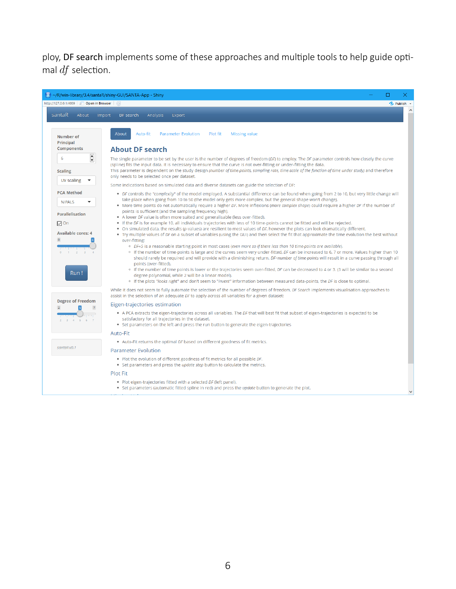ploy, DF search implements some of these approaches and multiple tools to help guide optimal *df* selection.

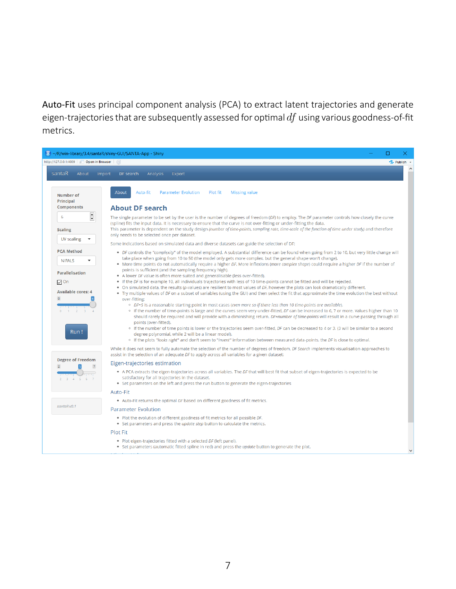Auto-Fit uses principal component analysis (PCA) to extract latent trajectories and generate eigen-trajectories that are subsequently assessed for optimal  $df$  using various goodness-of-fit metrics.

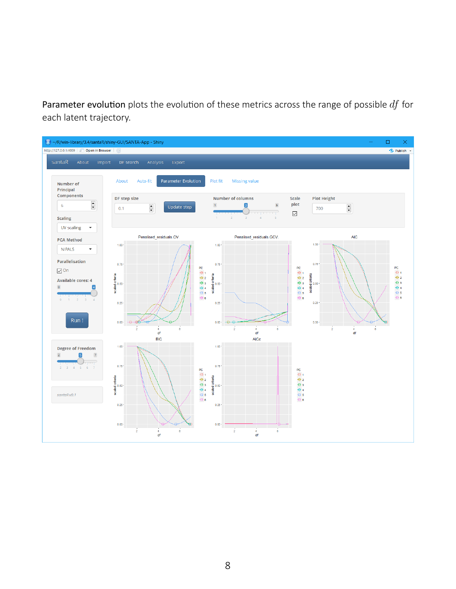Parameter evolution plots the evolution of these metrics across the range of possible  $df$  for each latent trajectory.

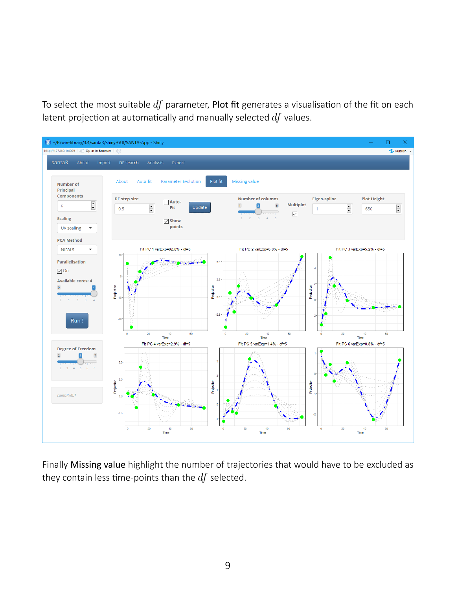To select the most suitable *df* parameter, Plot fit generates a visualisation of the fit on each latent projection at automatically and manually selected df values.



Finally Missing value highlight the number of trajectories that would have to be excluded as they contain less time-points than the  $df$  selected.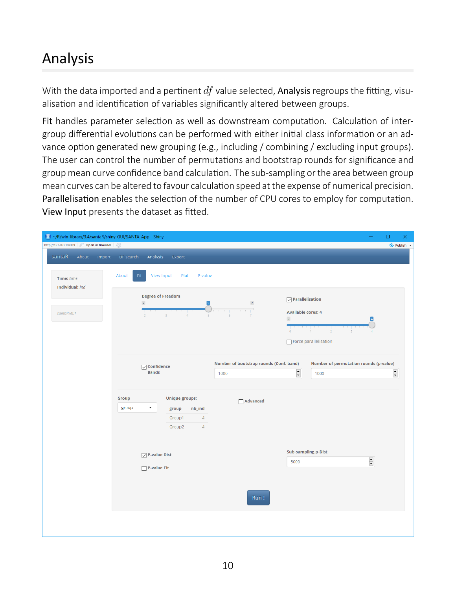# Analysis

With the data imported and a pertinent *df* value selected, Analysis regroups the fitting, visualisation and identification of variables significantly altered between groups.

Fit handles parameter selection as well as downstream computation. Calculation of intergroup differential evolutions can be performed with either initial class information or an advance option generated new grouping (e.g., including / combining / excluding input groups). The user can control the number of permutations and bootstrap rounds for significance and group mean curve confidence band calculation. The sub-sampling or the area between group mean curves can be altered to favour calculation speed at the expense of numerical precision. Parallelisation enables the selection of the number of CPU cores to employ for computation. View Input presents the dataset as fitted.

| R ~/R/win-library/3.4/santaR/shiny-GUI/SANTA-App - Shiny |                                                          |                                         |                                                                    | $\Box$<br>$\times$<br>$\overline{\phantom{0}}$ |
|----------------------------------------------------------|----------------------------------------------------------|-----------------------------------------|--------------------------------------------------------------------|------------------------------------------------|
| http://127.0.0.1:4009   8 Open in Browser   @            |                                                          |                                         |                                                                    | • Publish                                      |
| santaR<br>About<br>Import                                | DF search<br>Analysis<br>Export                          |                                         |                                                                    |                                                |
| Time: time<br>Individual: ind                            | About<br>Fit<br>View Input<br>Plot<br>P-value            |                                         |                                                                    |                                                |
|                                                          | <b>Degree of Freedom</b><br>$\overline{\mathbf{2}}$<br>5 | $\overline{\mathbf{7}}$                 | $\sqrt{}$ Parallelisation                                          |                                                |
| santaRv0.1                                               | $\overline{2}$<br>$\overline{a}$<br>$\lambda$<br>5       | $\mathbf{1}$<br>$\circ$                 | <b>Available cores: 4</b>                                          |                                                |
|                                                          |                                                          | $\bullet$                               | $\overline{2}$<br>$\overline{\mathbf{3}}$<br>Force parallelisation |                                                |
|                                                          | $\sqrt{\phantom{a}}$ Confidence                          | Number of bootstrap rounds (Conf. band) | Number of permutation rounds (p-value)                             |                                                |
|                                                          | <b>Bands</b>                                             | 1000                                    | $\overline{\phantom{a}}$<br>1000                                   | $\hat{\overline{\phantom{a}}\phantom{a}}$      |
|                                                          | <b>Unique groups:</b><br>Group                           | Advanced                                |                                                                    |                                                |
|                                                          | group<br>nb_ind<br>group<br>$\overline{4}$<br>Group1     |                                         |                                                                    |                                                |
|                                                          | Group2<br>$\overline{4}$                                 |                                         |                                                                    |                                                |
|                                                          | $\sqrt{}$ P-value Dist                                   |                                         | <b>Sub-sampling p-Dist</b><br>5000                                 | $\frac{\bullet}{\bullet}$                      |
|                                                          | $\Box$ P-value Fit                                       |                                         |                                                                    |                                                |
|                                                          |                                                          | Run!                                    |                                                                    |                                                |
|                                                          |                                                          |                                         |                                                                    |                                                |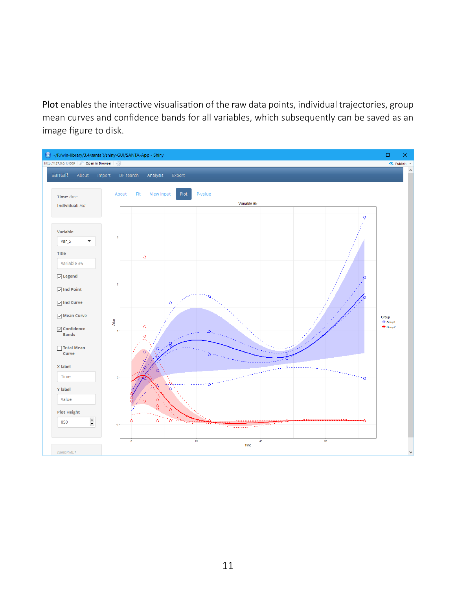Plot enables the interactive visualisation of the raw data points, individual trajectories, group mean curves and confidence bands for all variables, which subsequently can be saved as an image figure to disk.

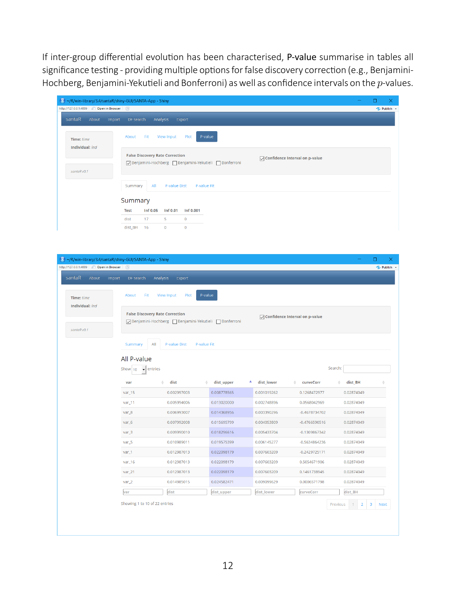If inter-group differential evolution has been characterised, P-value summarise in tables all significance testing - providing multiple options for false discovery correction (e.g., Benjamini-Hochberg, Benjamini-YekuƟeli and Bonferroni) as well as confidence intervals on the *p*-values.

| R) ~/R/win-library/3.4/santaR/shiny-GUI/SANTA-App - Shiny<br>п<br>$\times$                                                         |  |  |  |  |  |  |  |  |  |
|------------------------------------------------------------------------------------------------------------------------------------|--|--|--|--|--|--|--|--|--|
| http://127.0.0.1:4009 20 Open in Browser (C)<br>-C-Publish -                                                                       |  |  |  |  |  |  |  |  |  |
| santaR<br>About<br>Import<br>DF search<br>Analysis<br>Export                                                                       |  |  |  |  |  |  |  |  |  |
| P-value<br>Fit<br>Plot<br>About<br>View Input<br>Time: time<br>Individual: ind                                                     |  |  |  |  |  |  |  |  |  |
| <b>False Discovery Rate Correction</b><br>○ Confidence Interval on p-value<br>√Benjamini-Hochberg  Benjamini-Yekutieli  Bonferroni |  |  |  |  |  |  |  |  |  |
| santaRv0.1                                                                                                                         |  |  |  |  |  |  |  |  |  |
| All<br>Summary<br>P-value Dist<br>P-value Fit                                                                                      |  |  |  |  |  |  |  |  |  |
| Summary                                                                                                                            |  |  |  |  |  |  |  |  |  |
| <b>Inf 0.05</b><br><b>Inf 0.01</b><br>Inf 0.001<br><b>Test</b>                                                                     |  |  |  |  |  |  |  |  |  |
| dist<br>17<br>5<br>$\mathbf{0}$                                                                                                    |  |  |  |  |  |  |  |  |  |
| $\mathbf{0}$<br>dist_BH<br>16<br>$\mathbf{0}$                                                                                      |  |  |  |  |  |  |  |  |  |

| santaR<br>About               | Import<br>DF search                                                                                                                  | Analysis<br>Export  |                           |                           |                           |                       |                  |  |
|-------------------------------|--------------------------------------------------------------------------------------------------------------------------------------|---------------------|---------------------------|---------------------------|---------------------------|-----------------------|------------------|--|
| Time: time<br>Individual: ind | About<br>Fit                                                                                                                         | View Input<br>Plot  | P-value                   |                           |                           |                       |                  |  |
|                               | <b>False Discovery Rate Correction</b><br>◯ Confidence Interval on p-value<br>√Benjamini-Hochberg   Benjamini-Yekutieli   Bonferroni |                     |                           |                           |                           |                       |                  |  |
| santaRv0.1                    |                                                                                                                                      |                     |                           |                           |                           |                       |                  |  |
|                               | Summary                                                                                                                              | All<br>P-value Dist | P-value Fit               |                           |                           |                       |                  |  |
|                               | All P-value                                                                                                                          |                     |                           |                           |                           |                       |                  |  |
|                               | Show $10$                                                                                                                            | entries             |                           |                           |                           | Search:               |                  |  |
|                               |                                                                                                                                      |                     |                           |                           |                           |                       |                  |  |
|                               | var<br>$var_1$ 15                                                                                                                    | dist<br>0.002997003 | dist_upper<br>0.008778565 | dist_lower<br>0.001019262 | curveCorr<br>0.1268472977 | dist_BH<br>0.02874049 |                  |  |
|                               | $var_1$ 11                                                                                                                           | 0.005994006         | 0.013020000               | 0.002748896               | 0.0568042969              | 0.02874049            |                  |  |
|                               | var_8                                                                                                                                | 0.006993007         | 0.014368956               | 0.003390296               | $-0.4678734702$           | 0.02874049            |                  |  |
|                               | $var_6$                                                                                                                              | 0.007992008         | 0.015695799               | 0.004053809               | $-0.4766590516$           | 0.02874049            |                  |  |
|                               | $var_3$                                                                                                                              | 0.009990010         | 0.018296616               | 0.005433704               | $-0.1309867342$           | 0.02874049            |                  |  |
|                               | $var_5$                                                                                                                              | 0.010989011         | 0.019575399               | 0.006145277               | $-0.5634864236$           | 0.02874049            |                  |  |
|                               | $var_1$                                                                                                                              | 0.012987013         | 0.022098179               | 0.007603209               | $-0.2429725171$           | 0.02874049            |                  |  |
|                               | $var_16$                                                                                                                             | 0.012987013         | 0.022098179               | 0.007603209               | 0.5054671906              | 0.02874049            |                  |  |
|                               | $var_2$ 1                                                                                                                            | 0.012987013         | 0.022098179               | 0.007603209               | 0.1461738945              | 0.02874049            |                  |  |
|                               | $var_2$                                                                                                                              | 0.014985015         | 0.024582471               | 0.009099629               | 0.0006571798              | 0.02874049            |                  |  |
|                               | var                                                                                                                                  | dist                | dist_upper                | dist_lower                | curveCorr                 | dist_BH               |                  |  |
|                               | Showing 1 to 10 of 22 entries                                                                                                        |                     |                           |                           |                           | Previous<br>2         | 3<br><b>Next</b> |  |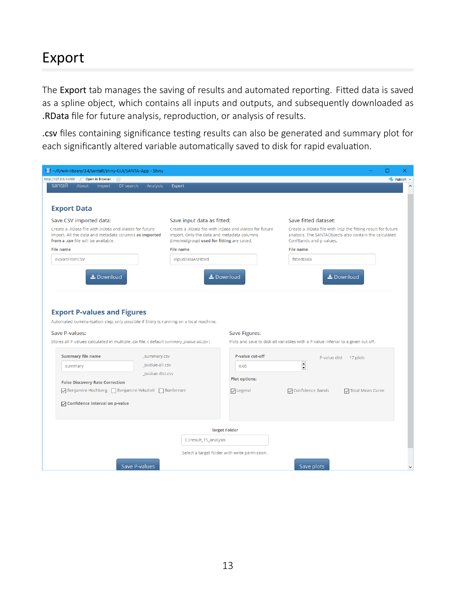### Export

The Export tab manages the saving of results and automated reporting. Fitted data is saved as a spline object, which contains all inputs and outputs, and subsequently downloaded as .RData file for future analysis, reproduction, or analysis of results.

.csv files containing significance testing results can also be generated and summary plot for each significantly altered variable automatically saved to disk for rapid evaluation.

| (R) ~/R/win-library/3.4/santaR/shiny-GUI/SANTA-App - Shiny                                                                                                           |                                                                                                                                                                    | □                                                                                                                                                 |
|----------------------------------------------------------------------------------------------------------------------------------------------------------------------|--------------------------------------------------------------------------------------------------------------------------------------------------------------------|---------------------------------------------------------------------------------------------------------------------------------------------------|
| http://127.0.0.1:4009 2 Open in Browser (                                                                                                                            |                                                                                                                                                                    | • Publish                                                                                                                                         |
| santaR<br>About<br>Import<br>DF search<br>Analysis                                                                                                                   | Export                                                                                                                                                             |                                                                                                                                                   |
|                                                                                                                                                                      |                                                                                                                                                                    |                                                                                                                                                   |
| <b>Export Data</b>                                                                                                                                                   |                                                                                                                                                                    |                                                                                                                                                   |
| Save CSV imported data:                                                                                                                                              | Save input data as fitted:                                                                                                                                         | Save fitted dataset:                                                                                                                              |
| Create a .RData file with <i>inData</i> and <i>inMeta</i> for future<br>import. All the data and metadata columns as imported<br>from a .csv file will be available. | Create a .RData file with <i>inData</i> and <i>inMeta</i> for future<br>import. Only the data and metadata columns<br>(time/ind/group) used for fitting are saved. | Create a .RData file with inSp the fitting result for future<br>analysis. The SANTAObjects also contain the calculated<br>ConfBands and p-values. |
| <b>File name</b>                                                                                                                                                     | <b>File name</b>                                                                                                                                                   | <b>File name</b>                                                                                                                                  |
| exportFromCSV                                                                                                                                                        | inputDataAsFitted                                                                                                                                                  | fittedData                                                                                                                                        |
|                                                                                                                                                                      |                                                                                                                                                                    |                                                                                                                                                   |
| Lownload                                                                                                                                                             | Lownload                                                                                                                                                           | Lownload                                                                                                                                          |
|                                                                                                                                                                      |                                                                                                                                                                    |                                                                                                                                                   |
|                                                                                                                                                                      |                                                                                                                                                                    |                                                                                                                                                   |
|                                                                                                                                                                      |                                                                                                                                                                    |                                                                                                                                                   |
| <b>Export P-values and Figures</b>                                                                                                                                   |                                                                                                                                                                    |                                                                                                                                                   |
| Automated summarisation step, only possible if Shiny is running on a local machine.                                                                                  |                                                                                                                                                                    |                                                                                                                                                   |
| Save P-values:                                                                                                                                                       | Save Figures:                                                                                                                                                      |                                                                                                                                                   |
| Stores all P-values calculated in multiple .csv file. ( default summary_pvalue-all.csv )                                                                             |                                                                                                                                                                    | Plots and save to disk all variables with a P-value inferior to a given cut-off.                                                                  |
|                                                                                                                                                                      |                                                                                                                                                                    |                                                                                                                                                   |
| <b>Summary file name</b><br>_summary.csv                                                                                                                             | P-value cut-off                                                                                                                                                    | P-value dist 17 plots                                                                                                                             |
| _pvalue-all.csv<br>summary                                                                                                                                           | 0.05                                                                                                                                                               | $\frac{1}{\sqrt{2}}$                                                                                                                              |
| _pvalue-dist.csv                                                                                                                                                     |                                                                                                                                                                    |                                                                                                                                                   |
| <b>False Discovery Rate Correction</b>                                                                                                                               | <b>Plot options:</b>                                                                                                                                               |                                                                                                                                                   |
| √Benjamini-Hochberg   Benjamini-Yekutieli   Bonferroni                                                                                                               | $\triangledown$ Legend                                                                                                                                             | <b>▽</b> Confidence Bands<br><b>▽ Total Mean Curve</b>                                                                                            |
| ○ Confidence Interval on p-value                                                                                                                                     |                                                                                                                                                                    |                                                                                                                                                   |
|                                                                                                                                                                      |                                                                                                                                                                    |                                                                                                                                                   |
|                                                                                                                                                                      |                                                                                                                                                                    |                                                                                                                                                   |
|                                                                                                                                                                      | <b>Target Folder</b>                                                                                                                                               |                                                                                                                                                   |
|                                                                                                                                                                      | C:/result_TS_analysis                                                                                                                                              |                                                                                                                                                   |
|                                                                                                                                                                      |                                                                                                                                                                    |                                                                                                                                                   |
|                                                                                                                                                                      | Select a target folder with write permission.                                                                                                                      |                                                                                                                                                   |
| <b>Save P-values</b>                                                                                                                                                 |                                                                                                                                                                    | Save plots                                                                                                                                        |
|                                                                                                                                                                      |                                                                                                                                                                    |                                                                                                                                                   |